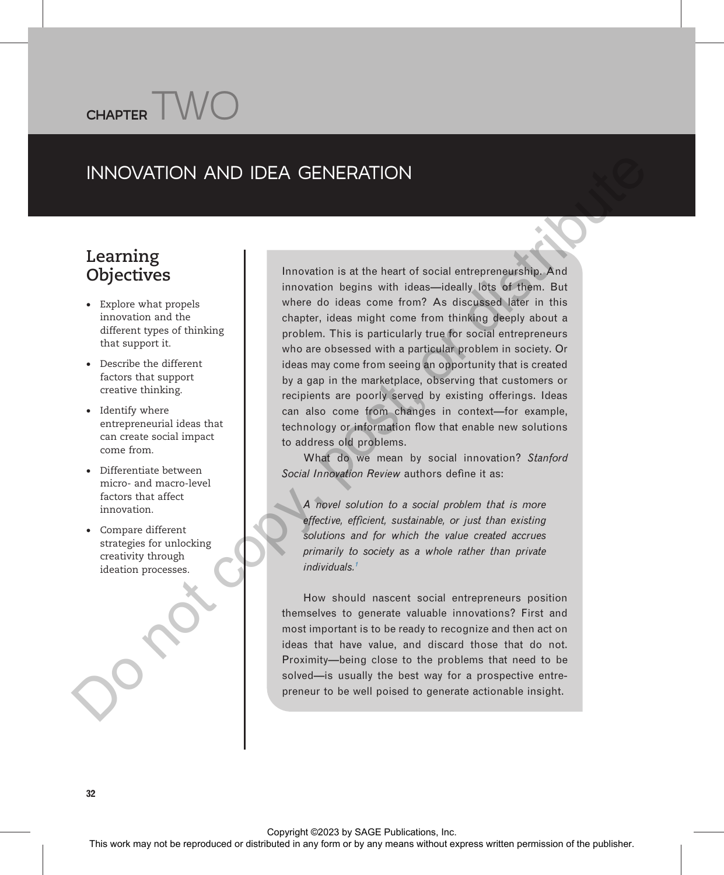# INNOVATION AND IDEA GENERATION

# o<br>Objective objectives

· Explore what propels innovation and the different types of thinking that support it.

 $CHAPTER$   $W$ 

- · Describe the different factors that support creative thinking.
- · Identify where entrepreneurial ideas that can create social impact come from.
- · Differentiate between micro- and macro-level factors that affect innovation.
- · Compare different strategies for unlocking creativity through ideation processes.

Innovation is at the heart of social entrepreneurship. And innovation begins with ideas—ideally lots of them. But where do ideas come from? As discussed later in this chapter, ideas might come from thinking deeply about a problem. This is particularly true for social entrepreneurs who are obsessed with a particular problem in society. Or ideas may come from seeing an opportunity that is created by a gap in the marketplace, observing that customers or recipients are poorly served by existing offerings. Ideas can also come from changes in context—for example, technology or information flow that enable new solutions to address old problems. This means of the reproduced or distributed in any form or by any means with the specific state and the publisher or by a specific state and the publisher of the publishers with the publishers were considered in any form

What do we mean by social innovation? Stanford Social Innovation Review authors define it as:

A novel solution to a social problem that is more effective, efficient, sustainable, or just than existing solutions and for which the value created accrues primarily to society as a whole rather than private individuals.1

How should nascent social entrepreneurs position themselves to generate valuable innovations? First and most important is to be ready to recognize and then act on ideas that have value, and discard those that do not. Proximity—being close to the problems that need to be solved—is usually the best way for a prospective entrepreneur to be well poised to generate actionable insight.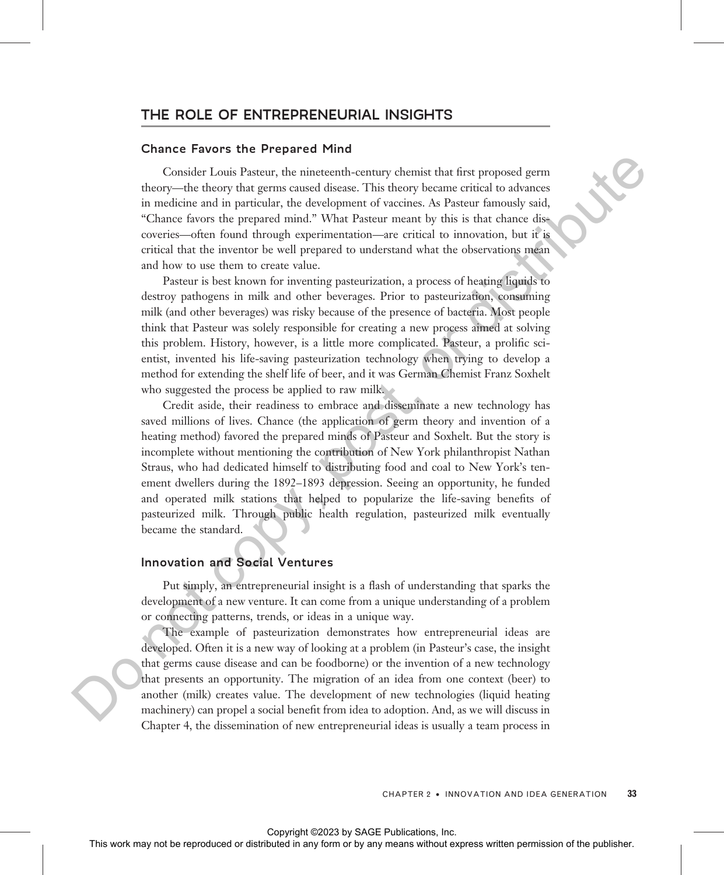# THE ROLE OF ENTREPRENEURIAL INSIGHTS

#### Chance Favors the Prepared Mind

Consider Louis Pasteur, the nineteenth-century chemist that first proposed germ theory—the theory that germs caused disease. This theory became critical to advances in medicine and in particular, the development of vaccines. As Pasteur famously said, "Chance favors the prepared mind." What Pasteur meant by this is that chance discoveries—often found through experimentation—are critical to innovation, but it is critical that the inventor be well prepared to understand what the observations mean and how to use them to create value.

Pasteur is best known for inventing pasteurization, a process of heating liquids to destroy pathogens in milk and other beverages. Prior to pasteurization, consuming milk (and other beverages) was risky because of the presence of bacteria. Most people think that Pasteur was solely responsible for creating a new process aimed at solving this problem. History, however, is a little more complicated. Pasteur, a prolific scientist, invented his life-saving pasteurization technology when trying to develop a method for extending the shelf life of beer, and it was German Chemist Franz Soxhelt who suggested the process be applied to raw milk.

Credit aside, their readiness to embrace and disseminate a new technology has saved millions of lives. Chance (the application of germ theory and invention of a heating method) favored the prepared minds of Pasteur and Soxhelt. But the story is incomplete without mentioning the contribution of New York philanthropist Nathan Straus, who had dedicated himself to distributing food and coal to New York's tenement dwellers during the 1892–1893 depression. Seeing an opportunity, he funded and operated milk stations that helped to popularize the life-saving benefits of pasteurized milk. Through public health regulation, pasteurized milk eventually became the standard. Consider Loois Patter, the nineteedh-centry chemic that have reproduced in a domestic may not be reproduced to the reproduced in a domestic corrections from the publisher. The interpretations were also the representation

# Innovation and Social Ventures

Put simply, an entrepreneurial insight is a flash of understanding that sparks the development of a new venture. It can come from a unique understanding of a problem or connecting patterns, trends, or ideas in a unique way.

The example of pasteurization demonstrates how entrepreneurial ideas are developed. Often it is a new way of looking at a problem (in Pasteur's case, the insight that germs cause disease and can be foodborne) or the invention of a new technology that presents an opportunity. The migration of an idea from one context (beer) to another (milk) creates value. The development of new technologies (liquid heating machinery) can propel a social benefit from idea to adoption. And, as we will discuss in Chapter 4, the dissemination of new entrepreneurial ideas is usually a team process in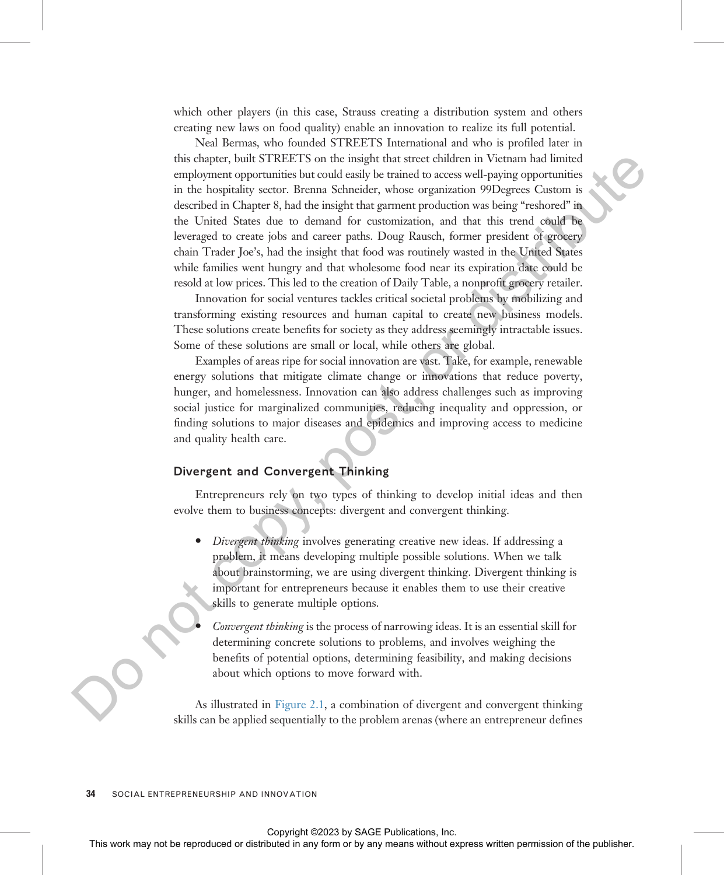which other players (in this case, Strauss creating a distribution system and others creating new laws on food quality) enable an innovation to realize its full potential.

Neal Bermas, who founded STREETS International and who is profiled later in this chapter, built STREETS on the insight that street children in Vietnam had limited employment opportunities but could easily be trained to access well-paying opportunities in the hospitality sector. Brenna Schneider, whose organization 99Degrees Custom is described in Chapter 8, had the insight that garment production was being "reshored" in the United States due to demand for customization, and that this trend could be leveraged to create jobs and career paths. Doug Rausch, former president of grocery chain Trader Joe's, had the insight that food was routinely wasted in the United States while families went hungry and that wholesome food near its expiration date could be resold at low prices. This led to the creation of Daily Table, a nonprofit grocery retailer. This work was not be reproduced or distributed in Victorian has been attacted the representation of the contents of the representation of the contents of the contents of the contents of the contents of the contents of the

Innovation for social ventures tackles critical societal problems by mobilizing and transforming existing resources and human capital to create new business models. These solutions create benefits for society as they address seemingly intractable issues. Some of these solutions are small or local, while others are global.

Examples of areas ripe for social innovation are vast. Take, for example, renewable energy solutions that mitigate climate change or innovations that reduce poverty, hunger, and homelessness. Innovation can also address challenges such as improving social justice for marginalized communities, reducing inequality and oppression, or finding solutions to major diseases and epidemics and improving access to medicine and quality health care.

# Divergent and Convergent Thinking

Entrepreneurs rely on two types of thinking to develop initial ideas and then evolve them to business concepts: divergent and convergent thinking.

• *Divergent thinking* involves generating creative new ideas. If addressing a problem, it means developing multiple possible solutions. When we talk about brainstorming, we are using divergent thinking. Divergent thinking is important for entrepreneurs because it enables them to use their creative skills to generate multiple options.

Convergent thinking is the process of narrowing ideas. It is an essential skill for determining concrete solutions to problems, and involves weighing the benefits of potential options, determining feasibility, and making decisions about which options to move forward with.

As illustrated in Figure 2.1, a combination of divergent and convergent thinking skills can be applied sequentially to the problem arenas (where an entrepreneur defines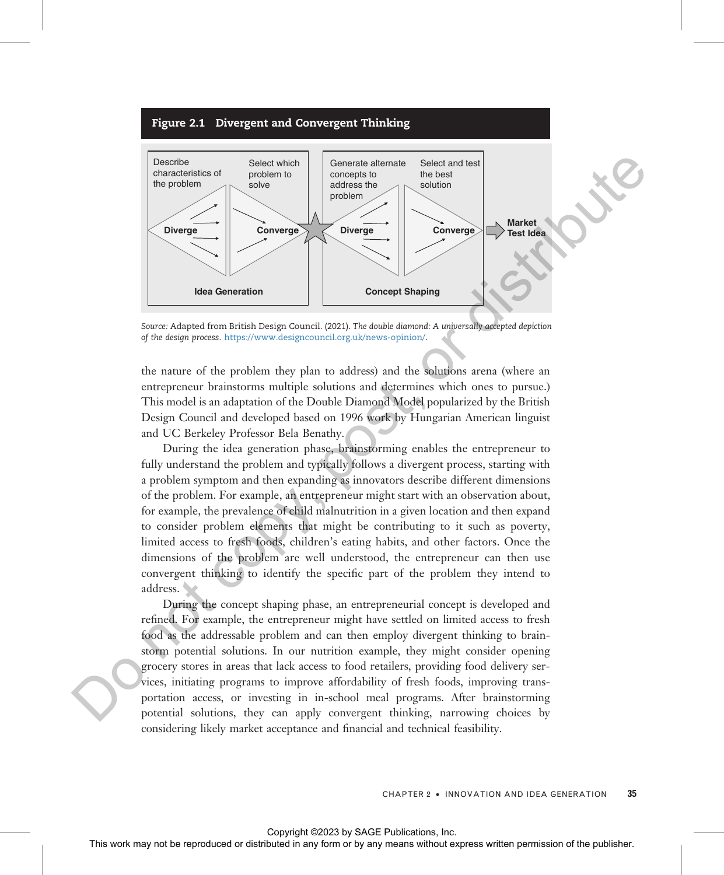#### Figure 2.1 Divergent and Convergent Thinking

<span id="page-3-0"></span>

Source: Adapted from British Design Council. (2021). The double diamond: A universally accepted depiction of the design process. https://www.designcouncil.org.uk/news-opinion/.

the nature of the problem they plan to address) and the solutions arena (where an entrepreneur brainstorms multiple solutions and determines which ones to pursue.) This model is an adaptation of the Double Diamond Model popularized by the British Design Council and developed based on 1996 work by Hungarian American linguist and UC Berkeley Professor Bela Benathy.

During the idea generation phase, brainstorming enables the entrepreneur to fully understand the problem and typically follows a divergent process, starting with a problem symptom and then expanding as innovators describe different dimensions of the problem. For example, an entrepreneur might start with an observation about, for example, the prevalence of child malnutrition in a given location and then expand to consider problem elements that might be contributing to it such as poverty, limited access to fresh foods, children's eating habits, and other factors. Once the dimensions of the problem are well understood, the entrepreneur can then use convergent thinking to identify the specific part of the problem they intend to address.

During the concept shaping phase, an entrepreneurial concept is developed and refined. For example, the entrepreneur might have settled on limited access to fresh food as the addressable problem and can then employ divergent thinking to brainstorm potential solutions. In our nutrition example, they might consider opening grocery stores in areas that lack access to food retailers, providing food delivery services, initiating programs to improve affordability of fresh foods, improving transportation access, or investing in in-school meal programs. After brainstorming potential solutions, they can apply convergent thinking, narrowing choices by considering likely market acceptance and financial and technical feasibility.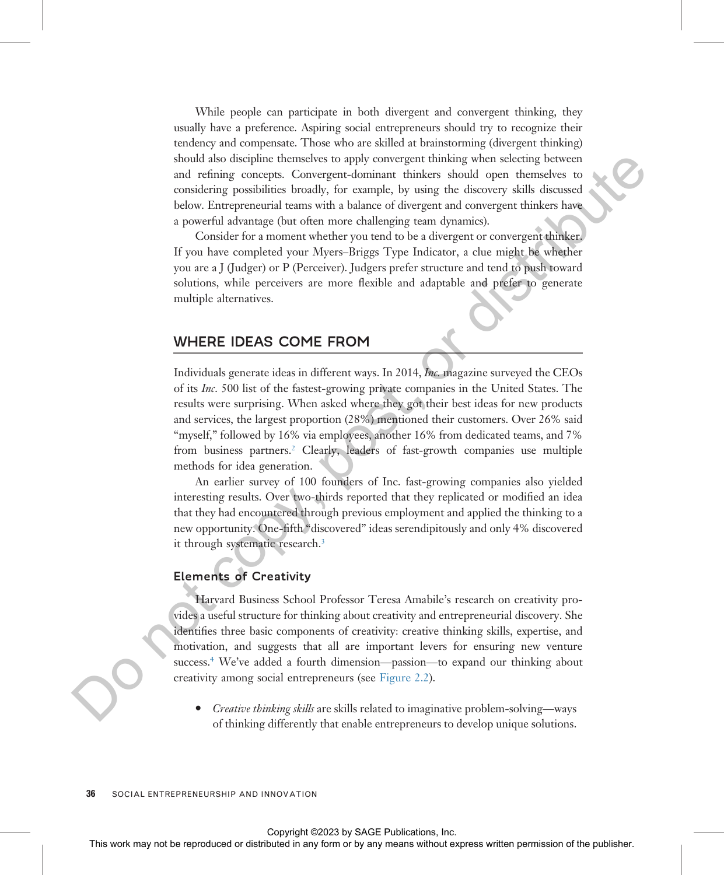While people can participate in both divergent and convergent thinking, they usually have a preference. Aspiring social entrepreneurs should try to recognize their tendency and compensate. Those who are skilled at brainstorming (divergent thinking) should also discipline themselves to apply convergent thinking when selecting between and refining concepts. Convergent-dominant thinkers should open themselves to considering possibilities broadly, for example, by using the discovery skills discussed below. Entrepreneurial teams with a balance of divergent and convergent thinkers have a powerful advantage (but often more challenging team dynamics).

Consider for a moment whether you tend to be a divergent or convergent thinker. If you have completed your Myers–Briggs Type Indicator, a clue might be whether you are a J (Judger) or P (Perceiver). Judgers prefer structure and tend to push toward solutions, while perceivers are more flexible and adaptable and prefer to generate multiple alternatives.

# WHERE IDEAS COME FROM

Individuals generate ideas in different ways. In 2014, Inc. magazine surveyed the CEOs of its Inc. 500 list of the fastest-growing private companies in the United States. The results were surprising. When asked where they got their best ideas for new products and services, the largest proportion (28%) mentioned their customers. Over 26% said "myself," followed by 16% via employees, another 16% from dedicated teams, and 7% from business partners.<sup>2</sup> Clearly, leaders of fast-growth companies use multiple methods for idea generation. should also designed the results of the reproduced or distributed in any form of the reproduced or distributed or distributed in any form or by a single the colony while the context may not content the publisher. Do not c

An earlier survey of 100 founders of Inc. fast-growing companies also yielded interesting results. Over two-thirds reported that they replicated or modified an idea that they had encountered through previous employment and applied the thinking to a new opportunity. One-fifth "discovered" ideas serendipitously and only 4% discovered it through systematic research.<sup>3</sup>

# Elements of Creativity

Harvard Business School Professor Teresa Amabile's research on creativity provides a useful structure for thinking about creativity and entrepreneurial discovery. She identifies three basic components of creativity: creative thinking skills, expertise, and motivation, and suggests that all are important levers for ensuring new venture success.<sup>4</sup> We've added a fourth dimension—passion—to expand our thinking about creativity among social entrepreneurs (see Figure 2.2).

· Creative thinking skills are skills related to imaginative problem-solving—ways of thinking differently that enable entrepreneurs to develop unique solutions.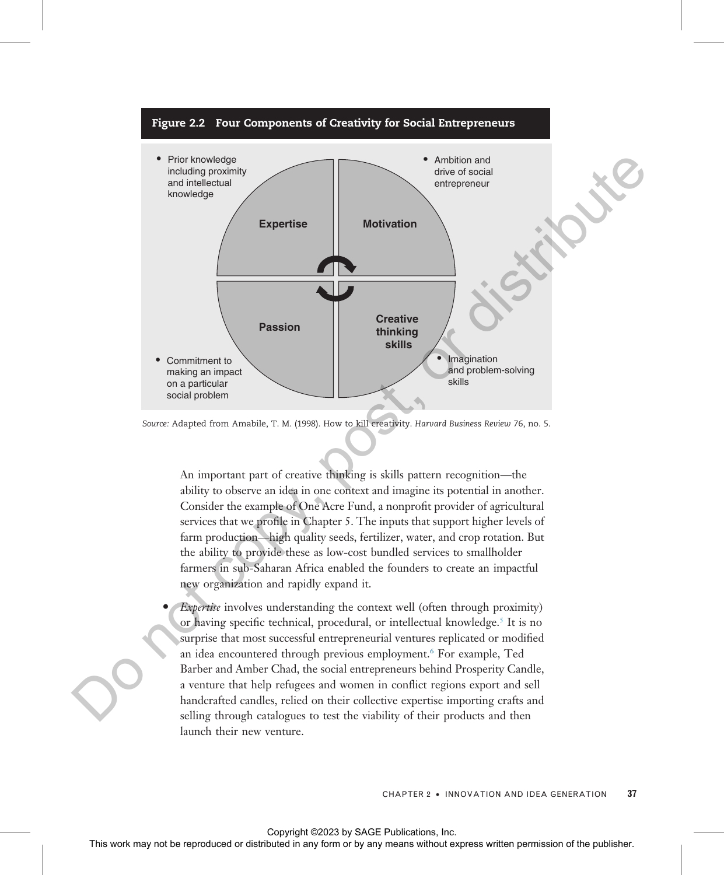<span id="page-5-0"></span>

Source: Adapted from Amabile, T. M. (1998). How to kill creativity. Harvard Business Review 76, no. 5.

An important part of creative thinking is skills pattern recognition—the ability to observe an idea in one context and imagine its potential in another. Consider the example of One Acre Fund, a nonprofit provider of agricultural services that we profile in Chapter 5. The inputs that support higher levels of farm production—high quality seeds, fertilizer, water, and crop rotation. But the ability to provide these as low-cost bundled services to smallholder farmers in sub-Saharan Africa enabled the founders to create an impactful new organization and rapidly expand it.

- Expertise involves understanding the context well (often through proximity) or having specific technical, procedural, or intellectual knowledge.<sup>5</sup> It is no surprise that most successful entrepreneurial ventures replicated or modified an idea encountered through previous employment.<sup>6</sup> For example, Ted Barber and Amber Chad, the social entrepreneurs behind Prosperity Candle,
- a venture that help refugees and women in conflict regions export and sell handcrafted candles, relied on their collective expertise importing crafts and selling through catalogues to test the viability of their products and then launch their new venture.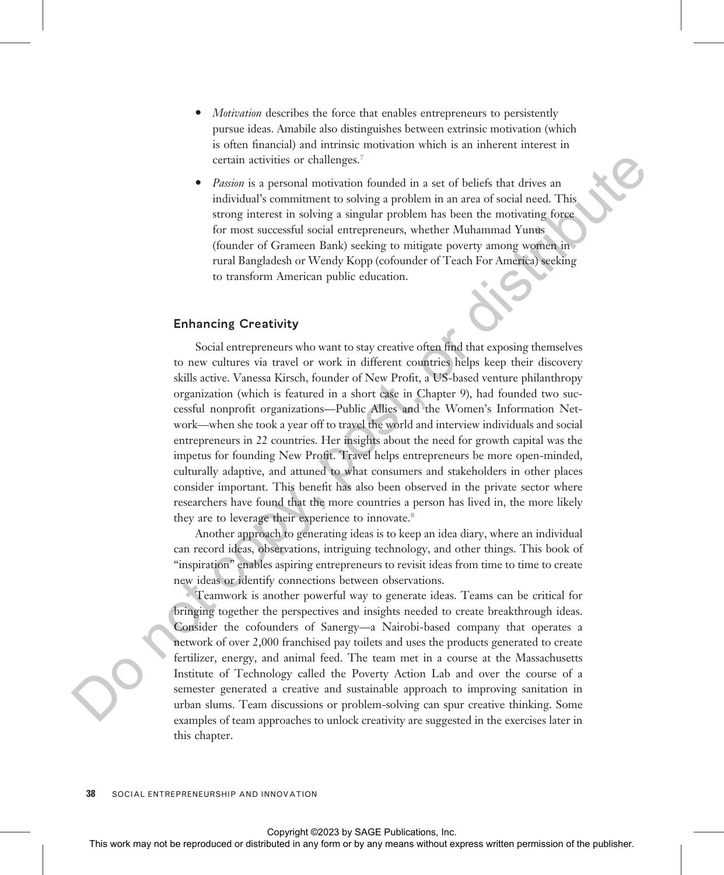- Motivation describes the force that enables entrepreneurs to persistently pursue ideas. Amabile also distinguishes between extrinsic motivation (which is often financial) and intrinsic motivation which is an inherent interest in certain activities or challenges.7
- *Passion* is a personal motivation founded in a set of beliefs that drives an individual's commitment to solving a problem in an area of social need. This strong interest in solving a singular problem has been the motivating force for most successful social entrepreneurs, whether Muhammad Yunus (founder of Grameen Bank) seeking to mitigate poverty among women in rural Bangladesh or Wendy Kopp (cofounder of Teach For America) seeking to transform American public education.

# Enhancing Creativity

Social entrepreneurs who want to stay creative often find that exposing themselves to new cultures via travel or work in different countries helps keep their discovery skills active. Vanessa Kirsch, founder of New Profit, a US-based venture philanthropy organization (which is featured in a short case in Chapter 9), had founded two successful nonprofit organizations—Public Allies and the Women's Information Network—when she took a year off to travel the world and interview individuals and social entrepreneurs in 22 countries. Her insights about the need for growth capital was the impetus for founding New Profit. Travel helps entrepreneurs be more open-minded, culturally adaptive, and attuned to what consumers and stakeholders in other places consider important. This benefit has also been observed in the private sector where researchers have found that the more countries a person has lived in, the more likely they are to leverage their experience to innovate.<sup>8</sup> **Consider the representation or another permission or distributed in any form of the reproduced or distributed in any form or by any means without express when the repressentation of the form of the reproduced in any form** 

Another approach to generating ideas is to keep an idea diary, where an individual can record ideas, observations, intriguing technology, and other things. This book of "inspiration" enables aspiring entrepreneurs to revisit ideas from time to time to create new ideas or identify connections between observations.

Teamwork is another powerful way to generate ideas. Teams can be critical for bringing together the perspectives and insights needed to create breakthrough ideas. Consider the cofounders of Sanergy—a Nairobi-based company that operates a network of over 2,000 franchised pay toilets and uses the products generated to create fertilizer, energy, and animal feed. The team met in a course at the Massachusetts Institute of Technology called the Poverty Action Lab and over the course of a semester generated a creative and sustainable approach to improving sanitation in urban slums. Team discussions or problem-solving can spur creative thinking. Some examples of team approaches to unlock creativity are suggested in the exercises later in this chapter.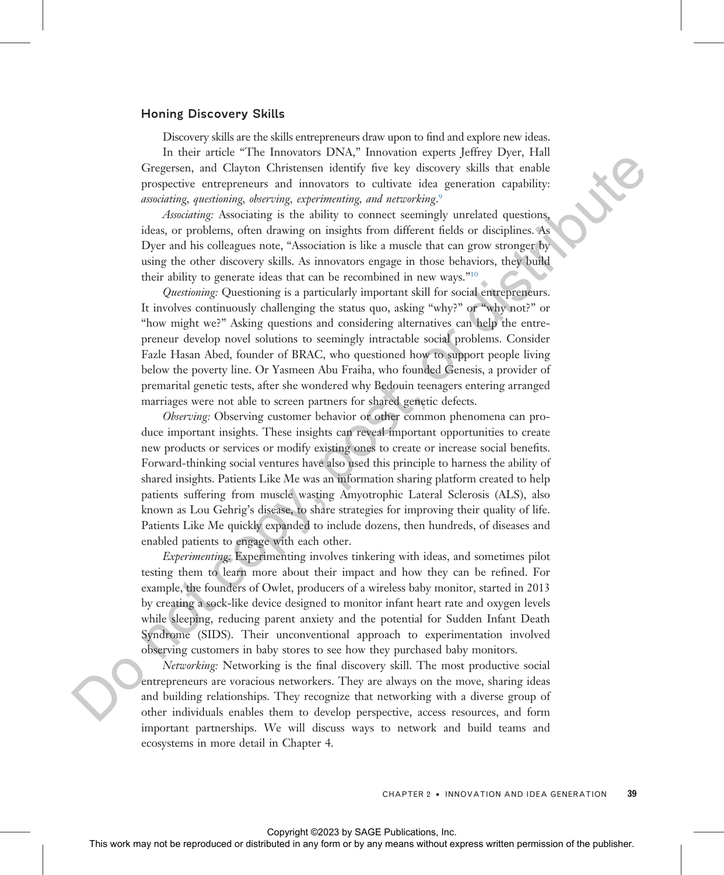## Honing Discovery Skills

Discovery skills are the skills entrepreneurs draw upon to find and explore new ideas.

In their article "The Innovators DNA," Innovation experts Jeffrey Dyer, Hall Gregersen, and Clayton Christensen identify five key discovery skills that enable prospective entrepreneurs and innovators to cultivate idea generation capability: associating, questioning, observing, experimenting, and networking. $^{\circ}$ 

Associating: Associating is the ability to connect seemingly unrelated questions, ideas, or problems, often drawing on insights from different fields or disciplines. As Dyer and his colleagues note, "Association is like a muscle that can grow stronger by using the other discovery skills. As innovators engage in those behaviors, they build their ability to generate ideas that can be recombined in new ways."<sup>10</sup>

Questioning: Questioning is a particularly important skill for social entrepreneurs. It involves continuously challenging the status quo, asking "why?" or "why not?" or "how might we?" Asking questions and considering alternatives can help the entrepreneur develop novel solutions to seemingly intractable social problems. Consider Fazle Hasan Abed, founder of BRAC, who questioned how to support people living below the poverty line. Or Yasmeen Abu Fraiha, who founded Genesis, a provider of premarital genetic tests, after she wondered why Bedouin teenagers entering arranged marriages were not able to screen partners for shared genetic defects.

Observing: Observing customer behavior or other common phenomena can produce important insights. These insights can reveal important opportunities to create new products or services or modify existing ones to create or increase social benefits. Forward-thinking social ventures have also used this principle to harness the ability of shared insights. Patients Like Me was an information sharing platform created to help patients suffering from muscle wasting Amyotrophic Lateral Sclerosis (ALS), also known as Lou Gehrig's disease, to share strategies for improving their quality of life. Patients Like Me quickly expanded to include dozens, then hundreds, of diseases and enabled patients to engage with each other. Controlled the representation of the representation of the representation of the representation or distributed in any form or by any means with the results of the publisher. The results of the publisher or distributed in

Experimenting: Experimenting involves tinkering with ideas, and sometimes pilot testing them to learn more about their impact and how they can be refined. For example, the founders of Owlet, producers of a wireless baby monitor, started in 2013 by creating a sock-like device designed to monitor infant heart rate and oxygen levels while sleeping, reducing parent anxiety and the potential for Sudden Infant Death Syndrome (SIDS). Their unconventional approach to experimentation involved observing customers in baby stores to see how they purchased baby monitors.

Networking: Networking is the final discovery skill. The most productive social entrepreneurs are voracious networkers. They are always on the move, sharing ideas and building relationships. They recognize that networking with a diverse group of other individuals enables them to develop perspective, access resources, and form important partnerships. We will discuss ways to network and build teams and ecosystems in more detail in Chapter 4.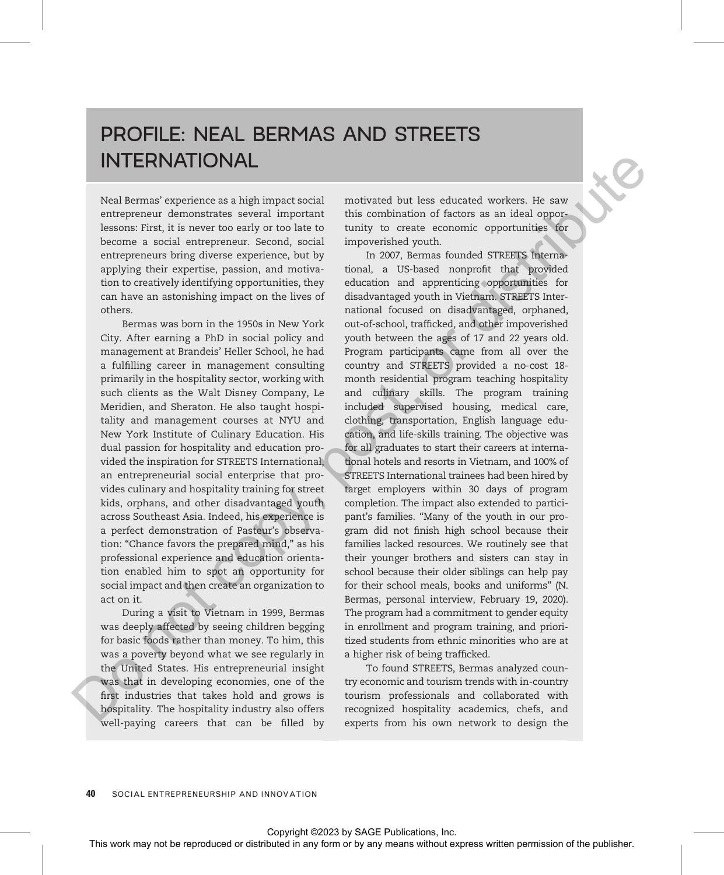# PROFILE: NEAL BERMAS AND STREETS INTERNATIONAL

Neal Bermas' experience as a high impact social entrepreneur demonstrates several important lessons: First, it is never too early or too late to become a social entrepreneur. Second, social entrepreneurs bring diverse experience, but by applying their expertise, passion, and motivation to creatively identifying opportunities, they can have an astonishing impact on the lives of others.

Bermas was born in the 1950s in New York City. After earning a PhD in social policy and management at Brandeis' Heller School, he had a fulfilling career in management consulting primarily in the hospitality sector, working with such clients as the Walt Disney Company, Le Meridien, and Sheraton. He also taught hospitality and management courses at NYU and New York Institute of Culinary Education. His dual passion for hospitality and education provided the inspiration for STREETS International, an entrepreneurial social enterprise that provides culinary and hospitality training for street kids, orphans, and other disadvantaged youth across Southeast Asia. Indeed, his experience is a perfect demonstration of Pasteur's observation: "Chance favors the prepared mind," as his professional experience and education orientation enabled him to spot an opportunity for social impact and then create an organization to act on it.

During a visit to Vietnam in 1999, Bermas was deeply affected by seeing children begging for basic foods rather than money. To him, this was a poverty beyond what we see regularly in the United States. His entrepreneurial insight was that in developing economies, one of the first industries that takes hold and grows is hospitality. The hospitality industry also offers well-paying careers that can be filled by motivated but less educated workers. He saw this combination of factors as an ideal opportunity to create economic opportunities for impoverished youth.

In 2007, Bermas founded STREETS International, a US-based nonprofit that provided education and apprenticing opportunities for disadvantaged youth in Vietnam. STREETS International focused on disadvantaged, orphaned, out-of-school, trafficked, and other impoverished youth between the ages of 17 and 22 years old. Program participants came from all over the country and STREETS provided a no-cost 18 month residential program teaching hospitality and culinary skills. The program training included supervised housing, medical care, clothing, transportation, English language education, and life-skills training. The objective was for all graduates to start their careers at international hotels and resorts in Vietnam, and 100% of STREETS International trainees had been hired by target employers within 30 days of program completion. The impact also extended to participant's families. "Many of the youth in our program did not finish high school because their families lacked resources. We routinely see that their younger brothers and sisters can stay in school because their older siblings can help pay for their school meals, books and uniforms" (N. Bermas, personal interview, February 19, 2020). The program had a commitment to gender equity in enrollment and program training, and prioritized students from ethnic minorities who are at a higher risk of being trafficked. **THERENATIONAL**<br>
Next measure represents an individual measurement distributed in factors as an ideal opposite<br>vectors in any two serves or contributed in a more contributed in the representation of the publisher. This we

To found STREETS, Bermas analyzed country economic and tourism trends with in-country tourism professionals and collaborated with recognized hospitality academics, chefs, and experts from his own network to design the

**40** SOCIAL ENTREPRENEURSHIP AND INNOVATION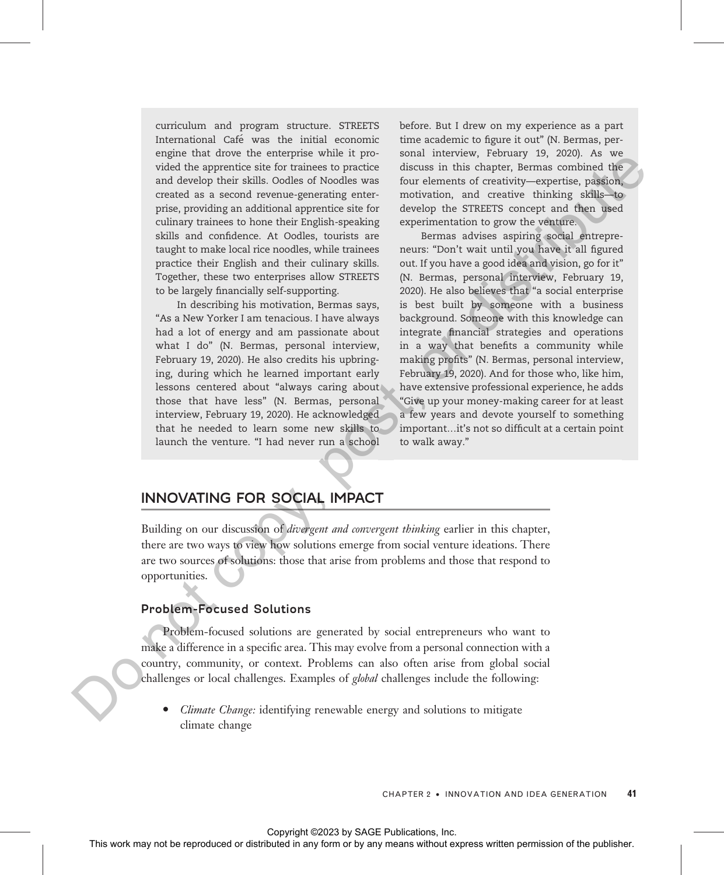curriculum and program structure. STREETS International Café was the initial economic engine that drove the enterprise while it provided the apprentice site for trainees to practice and develop their skills. Oodles of Noodles was created as a second revenue-generating enterprise, providing an additional apprentice site for culinary trainees to hone their English-speaking skills and confidence. At Oodles, tourists are taught to make local rice noodles, while trainees practice their English and their culinary skills. Together, these two enterprises allow STREETS to be largely financially self-supporting.

In describing his motivation, Bermas says, "As a New Yorker I am tenacious. I have always had a lot of energy and am passionate about what I do" (N. Bermas, personal interview, February 19, 2020). He also credits his upbringing, during which he learned important early lessons centered about "always caring about those that have less" (N. Bermas, personal interview, February 19, 2020). He acknowledged that he needed to learn some new skills to launch the venture. "I had never run a school

before. But I drew on my experience as a part time academic to figure it out" (N. Bermas, personal interview, February 19, 2020). As we discuss in this chapter, Bermas combined the four elements of creativity—expertise, passion, motivation, and creative thinking skills—to develop the STREETS concept and then used experimentation to grow the venture.

Bermas advises aspiring social entrepreneurs: "Don't wait until you have it all figured out. If you have a good idea and vision, go for it" (N. Bermas, personal interview, February 19, 2020). He also believes that "a social enterprise is best built by someone with a business background. Someone with this knowledge can integrate financial strategies and operations in a way that benefits a community while making profits" (N. Bermas, personal interview, February 19, 2020). And for those who, like him, have extensive professional experience, he adds "Give up your money-making career for at least a few years and devote yourself to something important…it's not so difficult at a certain point to walk away." When the means with a both the reproduced or distributed in any form or both the representative-spacetive permission of the results of the stributed in a second or both the results and the publisher and the publisher and

# INNOVATING FOR SOCIAL IMPACT

Building on our discussion of *divergent and convergent thinking* earlier in this chapter, there are two ways to view how solutions emerge from social venture ideations. There are two sources of solutions: those that arise from problems and those that respond to opportunities.

# Problem-Focused Solutions

Problem-focused solutions are generated by social entrepreneurs who want to make a difference in a specific area. This may evolve from a personal connection with a country, community, or context. Problems can also often arise from global social challenges or local challenges. Examples of *global* challenges include the following:

*Climate Change*: identifying renewable energy and solutions to mitigate climate change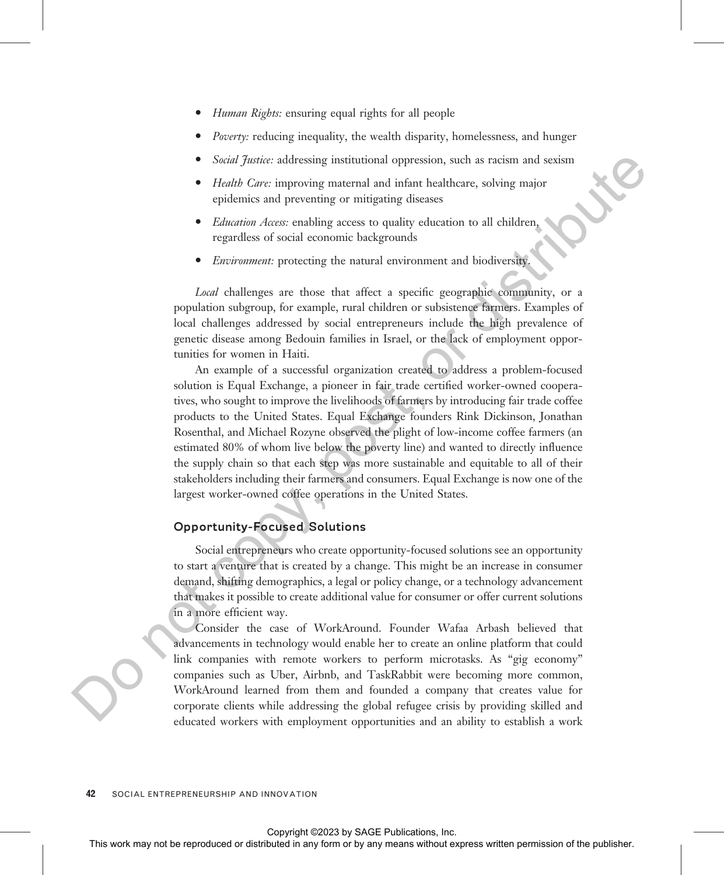- Human Rights: ensuring equal rights for all people
- *Poverty:* reducing inequality, the wealth disparity, homelessness, and hunger
- Social Justice: addressing institutional oppression, such as racism and sexism
- Health Care: improving maternal and infant healthcare, solving major epidemics and preventing or mitigating diseases
- *Education Access:* enabling access to quality education to all children, regardless of social economic backgrounds
- Environment: protecting the natural environment and biodiversity.

Local challenges are those that affect a specific geographic community, or a population subgroup, for example, rural children or subsistence farmers. Examples of local challenges addressed by social entrepreneurs include the high prevalence of genetic disease among Bedouin families in Israel, or the lack of employment opportunities for women in Haiti.

An example of a successful organization created to address a problem-focused solution is Equal Exchange, a pioneer in fair trade certified worker-owned cooperatives, who sought to improve the livelihoods of farmers by introducing fair trade coffee products to the United States. Equal Exchange founders Rink Dickinson, Jonathan Rosenthal, and Michael Rozyne observed the plight of low-income coffee farmers (an estimated 80% of whom live below the poverty line) and wanted to directly influence the supply chain so that each step was more sustainable and equitable to all of their stakeholders including their farmers and consumers. Equal Exchange is now one of the largest worker-owned coffee operations in the United States. Solution distributed or distributed or distributed or distributed in any form or between the representation or distributed in any form or between the publisher and the publisher.<br>
The publisher and the publisher area to p

# Opportunity-Focused Solutions

Social entrepreneurs who create opportunity-focused solutions see an opportunity to start a venture that is created by a change. This might be an increase in consumer demand, shifting demographics, a legal or policy change, or a technology advancement that makes it possible to create additional value for consumer or offer current solutions in a more efficient way.

Consider the case of WorkAround. Founder Wafaa Arbash believed that advancements in technology would enable her to create an online platform that could link companies with remote workers to perform microtasks. As "gig economy" companies such as Uber, Airbnb, and TaskRabbit were becoming more common, WorkAround learned from them and founded a company that creates value for corporate clients while addressing the global refugee crisis by providing skilled and educated workers with employment opportunities and an ability to establish a work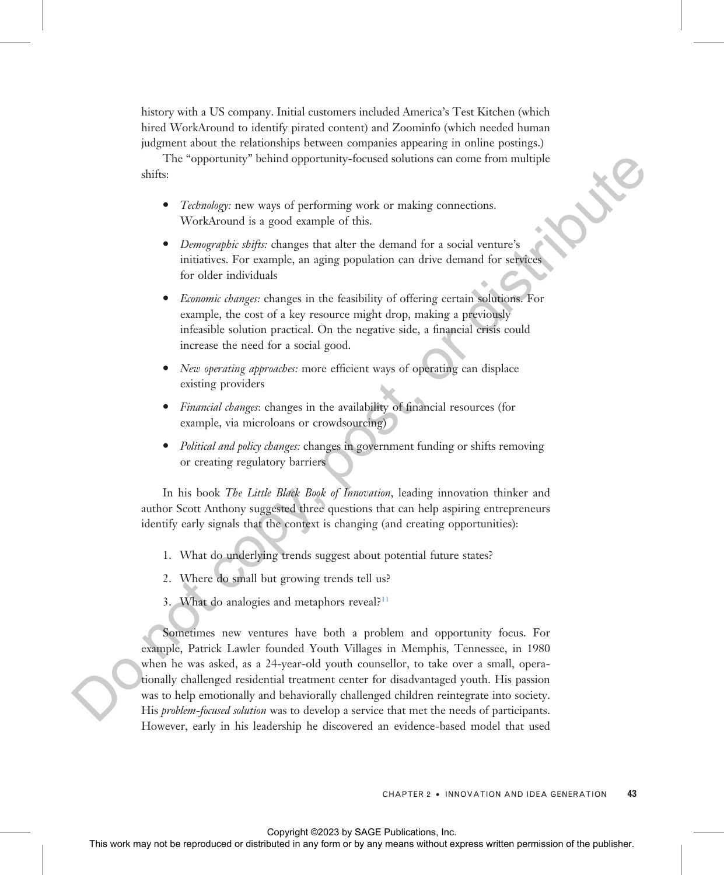history with a US company. Initial customers included America's Test Kitchen (which hired WorkAround to identify pirated content) and Zoominfo (which needed human judgment about the relationships between companies appearing in online postings.)

The "opportunity" behind opportunity-focused solutions can come from multiple shifts:

- Technology: new ways of performing work or making connections. WorkAround is a good example of this.
- · Demographic shifts: changes that alter the demand for a social venture's initiatives. For example, an aging population can drive demand for services for older individuals
- Economic changes: changes in the feasibility of offering certain solutions. For example, the cost of a key resource might drop, making a previously infeasible solution practical. On the negative side, a financial crisis could increase the need for a social good.
- *New operating approaches:* more efficient ways of operating can displace existing providers
- · Financial changes: changes in the availability of financial resources (for example, via microloans or crowdsourcing)
- Political and policy changes: changes in government funding or shifts removing or creating regulatory barriers

In his book The Little Black Book of Innovation, leading innovation thinker and author Scott Anthony suggested three questions that can help aspiring entrepreneurs identify early signals that the context is changing (and creating opportunities):

- 1. What do underlying trends suggest about potential future states?
- 2. Where do small but growing trends tell us?
- 3. What do analogies and metaphors reveal?<sup>11</sup>

Sometimes new ventures have both a problem and opportunity focus. For example, Patrick Lawler founded Youth Villages in Memphis, Tennessee, in 1980 when he was asked, as a 24-year-old youth counsellor, to take over a small, operationally challenged residential treatment center for disadvantaged youth. His passion was to help emotionally and behaviorally challenged children reintegrate into society. His problem-focused solution was to develop a service that met the needs of participants. However, early in his leadership he discovered an evidence-based model that used This "opportunity" both<br>alt opportunity-focused or distributed in a social connection:<br>
Windows may not be reproduced in a social connection:<br>  $\bullet$  *Downgrophs while* changes that also the channal for a social connection: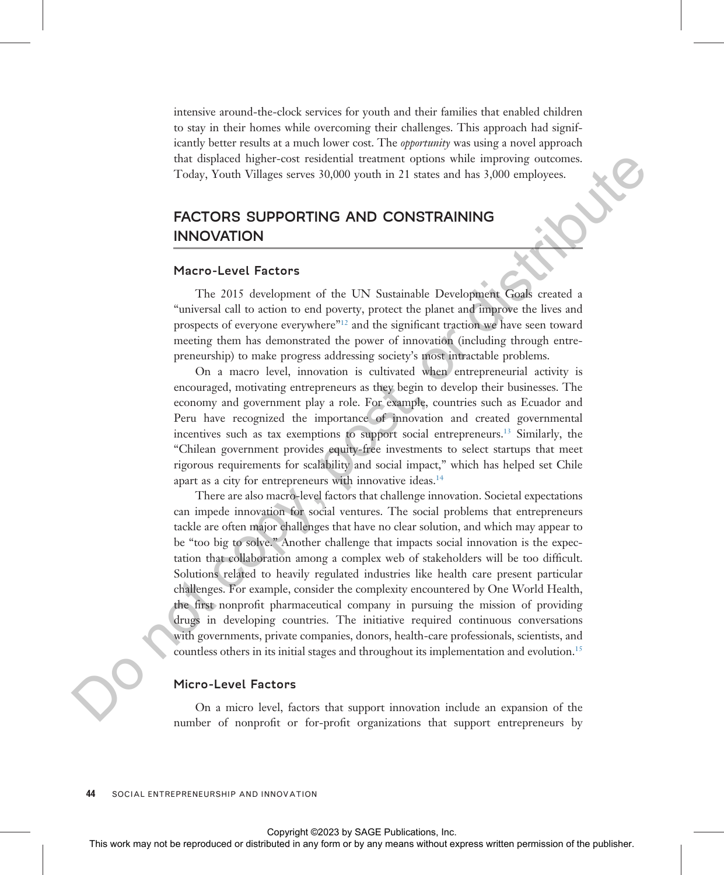intensive around-the-clock services for youth and their families that enabled children to stay in their homes while overcoming their challenges. This approach had significantly better results at a much lower cost. The *opportunity* was using a novel approach that displaced higher-cost residential treatment options while improving outcomes. Today, Youth Villages serves 30,000 youth in 21 states and has 3,000 employees.

# FACTORS SUPPORTING AND CONSTRAINING INNOVATION

## Macro-Level Factors

The 2015 development of the UN Sustainable Development Goals created a "universal call to action to end poverty, protect the planet and improve the lives and prospects of everyone everywhere"<sup>12</sup> and the significant traction we have seen toward meeting them has demonstrated the power of innovation (including through entrepreneurship) to make progress addressing society's most intractable problems.

On a macro level, innovation is cultivated when entrepreneurial activity is encouraged, motivating entrepreneurs as they begin to develop their businesses. The economy and government play a role. For example, countries such as Ecuador and Peru have recognized the importance of innovation and created governmental incentives such as tax exemptions to support social entrepreneurs.13 Similarly, the "Chilean government provides equity-free investments to select startups that meet rigorous requirements for scalability and social impact," which has helped set Chile apart as a city for entrepreneurs with innovative ideas.<sup>14</sup>

There are also macro-level factors that challenge innovation. Societal expectations can impede innovation for social ventures. The social problems that entrepreneurs tackle are often major challenges that have no clear solution, and which may appear to be "too big to solve." Another challenge that impacts social innovation is the expectation that collaboration among a complex web of stakeholders will be too difficult. Solutions related to heavily regulated industries like health care present particular challenges. For example, consider the complexity encountered by One World Health, the first nonprofit pharmaceutical company in pursuing the mission of providing drugs in developing countries. The initiative required continuous conversations with governments, private companies, donors, health-care professionals, scientists, and countless others in its initial stages and throughout its implementation and evolution.<sup>15</sup> The representation or the results of the reproduced or distributed in any form or by any means of the reproduced in any form or by any means with the results of the publisher. The 2012 do not be reproduced to the publishe

# Micro-Level Factors

On a micro level, factors that support innovation include an expansion of the number of nonprofit or for-profit organizations that support entrepreneurs by

44 SOCIAL ENTREPRENEURSHIP AND INNOVATION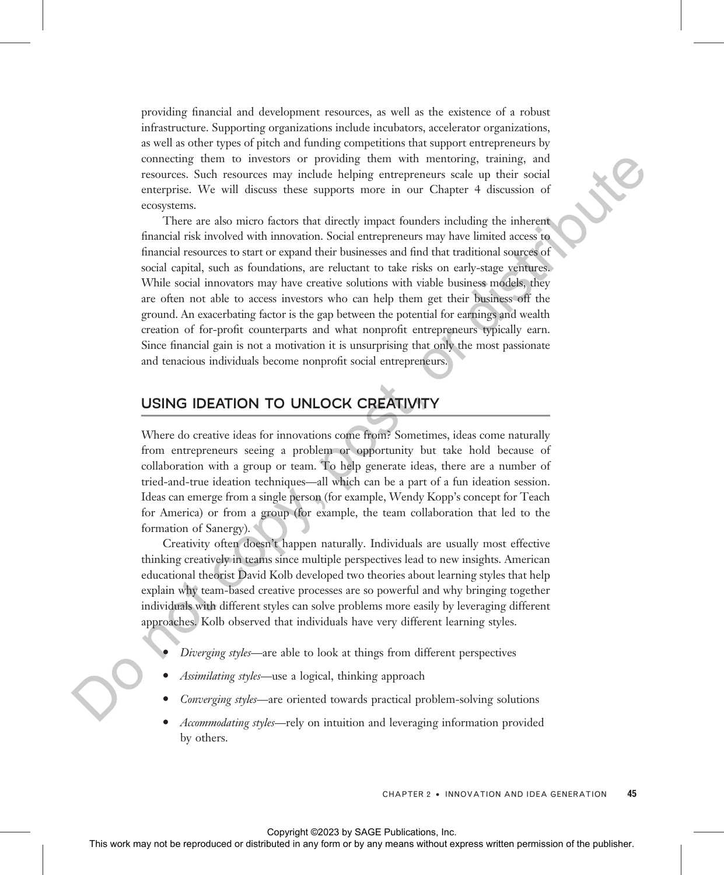providing financial and development resources, as well as the existence of a robust infrastructure. Supporting organizations include incubators, accelerator organizations, as well as other types of pitch and funding competitions that support entrepreneurs by connecting them to investors or providing them with mentoring, training, and resources. Such resources may include helping entrepreneurs scale up their social enterprise. We will discuss these supports more in our Chapter 4 discussion of ecosystems.

There are also micro factors that directly impact founders including the inherent financial risk involved with innovation. Social entrepreneurs may have limited access to financial resources to start or expand their businesses and find that traditional sources of social capital, such as foundations, are reluctant to take risks on early-stage ventures. While social innovators may have creative solutions with viable business models, they are often not able to access investors who can help them get their business off the ground. An exacerbating factor is the gap between the potential for earnings and wealth creation of for-profit counterparts and what nonprofit entrepreneurs typically earn. Since financial gain is not a motivation it is unsurprising that only the most passionate and tenacious individuals become nonprofit social entrepreneurs. Containing the reproduced or distributed in any form or by any means when the reproduced or the reproduced or the reproduced or the reproduced in the reproduced in a computed in any form or by any means when the reproduc

# USING IDEATION TO UNLOCK CREATIVITY

Where do creative ideas for innovations come from? Sometimes, ideas come naturally from entrepreneurs seeing a problem or opportunity but take hold because of collaboration with a group or team. To help generate ideas, there are a number of tried-and-true ideation techniques—all which can be a part of a fun ideation session. Ideas can emerge from a single person (for example, Wendy Kopp's concept for Teach for America) or from a group (for example, the team collaboration that led to the formation of Sanergy).

Creativity often doesn't happen naturally. Individuals are usually most effective thinking creatively in teams since multiple perspectives lead to new insights. American educational theorist David Kolb developed two theories about learning styles that help explain why team-based creative processes are so powerful and why bringing together individuals with different styles can solve problems more easily by leveraging different approaches. Kolb observed that individuals have very different learning styles.

- Diverging styles—are able to look at things from different perspectives
- Assimilating styles—use a logical, thinking approach
- Converging styles—are oriented towards practical problem-solving solutions
- Accommodating styles—rely on intuition and leveraging information provided by others.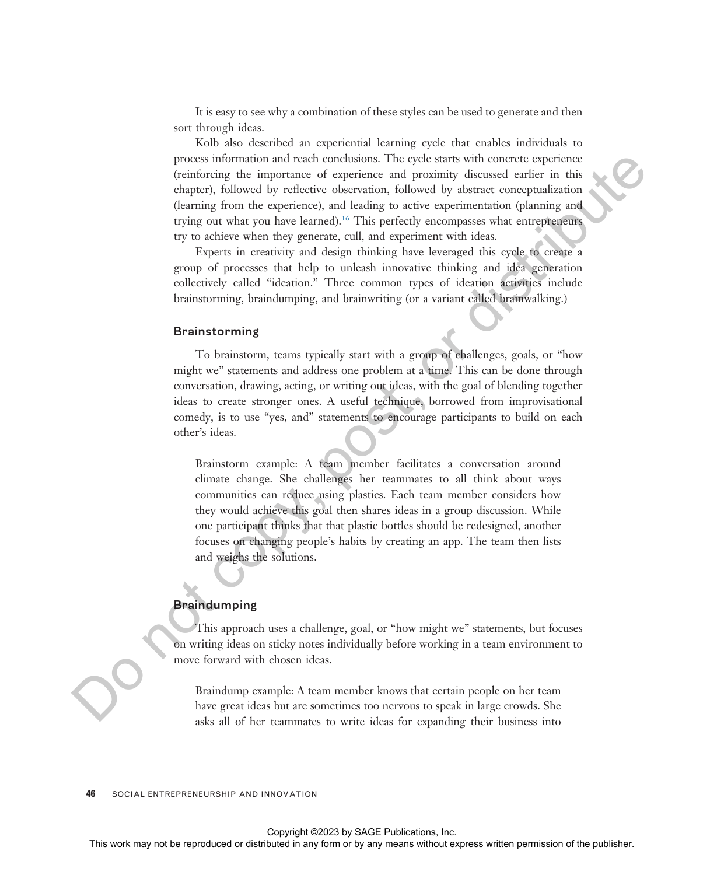It is easy to see why a combination of these styles can be used to generate and then sort through ideas.

Kolb also described an experiential learning cycle that enables individuals to process information and reach conclusions. The cycle starts with concrete experience (reinforcing the importance of experience and proximity discussed earlier in this chapter), followed by reflective observation, followed by abstract conceptualization (learning from the experience), and leading to active experimentation (planning and trying out what you have learned).<sup>16</sup> This perfectly encompasses what entrepreneurs try to achieve when they generate, cull, and experiment with ideas.

Experts in creativity and design thinking have leveraged this cycle to create a group of processes that help to unleash innovative thinking and idea generation collectively called "ideation." Three common types of ideation activities include brainstorming, braindumping, and brainwriting (or a variant called brainwalking.)

## Brainstorming

To brainstorm, teams typically start with a group of challenges, goals, or "how might we" statements and address one problem at a time. This can be done through conversation, drawing, acting, or writing out ideas, with the goal of blending together ideas to create stronger ones. A useful technique, borrowed from improvisational comedy, is to use "yes, and" statements to encourage participants to build on each other's ideas.

Brainstorm example: A team member facilitates a conversation around climate change. She challenges her teammates to all think about ways communities can reduce using plastics. Each team member considers how they would achieve this goal then shares ideas in a group discussion. While one participant thinks that that plastic bottles should be redesigned, another focuses on changing people's habits by creating an app. The team then lists and weighs the solutions. process information and conclusion. The cole of the publisher or distributed in the representation of the publisher of the publisher or distributed in a deterministic or distributed in a deterministic or distributed in a

#### Braindumping

This approach uses a challenge, goal, or "how might we" statements, but focuses on writing ideas on sticky notes individually before working in a team environment to move forward with chosen ideas.

Braindump example: A team member knows that certain people on her team have great ideas but are sometimes too nervous to speak in large crowds. She asks all of her teammates to write ideas for expanding their business into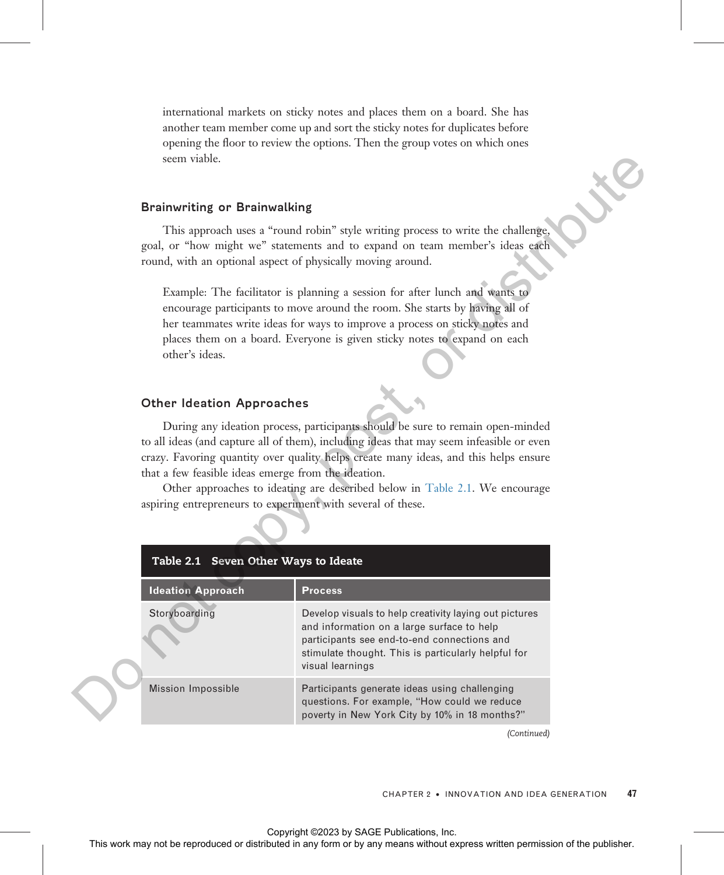international markets on sticky notes and places them on a board. She has another team member come up and sort the sticky notes for duplicates before opening the floor to review the options. Then the group votes on which ones seem viable.

### Brainwriting or Brainwalking

## Other Ideation Approaches

| seem viable.                                                                                                                                               |                                                                                                                                                                                                                                                                                                                                                   |    |
|------------------------------------------------------------------------------------------------------------------------------------------------------------|---------------------------------------------------------------------------------------------------------------------------------------------------------------------------------------------------------------------------------------------------------------------------------------------------------------------------------------------------|----|
| <b>Brainwriting or Brainwalking</b>                                                                                                                        |                                                                                                                                                                                                                                                                                                                                                   |    |
| round, with an optional aspect of physically moving around.                                                                                                | This approach uses a "round robin" style writing process to write the challenge,<br>goal, or "how might we" statements and to expand on team member's ideas each                                                                                                                                                                                  |    |
| other's ideas.                                                                                                                                             | Example: The facilitator is planning a session for after lunch and wants to<br>encourage participants to move around the room. She starts by having all of<br>her teammates write ideas for ways to improve a process on sticky notes and<br>places them on a board. Everyone is given sticky notes to expand on each                             |    |
| <b>Other Ideation Approaches</b>                                                                                                                           |                                                                                                                                                                                                                                                                                                                                                   |    |
| that a few feasible ideas emerge from the ideation.<br>aspiring entrepreneurs to experiment with several of these.<br>Table 2.1 Seven Other Ways to Ideate | During any ideation process, participants should be sure to remain open-minded<br>to all ideas (and capture all of them), including ideas that may seem infeasible or even<br>crazy. Favoring quantity over quality helps create many ideas, and this helps ensure<br>Other approaches to ideating are described below in Table 2.1. We encourage |    |
| <b>Ideation Approach</b>                                                                                                                                   | <b>Process</b>                                                                                                                                                                                                                                                                                                                                    |    |
| Storyboarding                                                                                                                                              | Develop visuals to help creativity laying out pictures<br>and information on a large surface to help<br>participants see end-to-end connections and<br>stimulate thought. This is particularly helpful for<br>visual learnings                                                                                                                    |    |
| Mission Impossible                                                                                                                                         | Participants generate ideas using challenging<br>questions. For example, "How could we reduce<br>poverty in New York City by 10% in 18 months?"                                                                                                                                                                                                   |    |
|                                                                                                                                                            | (Continued)                                                                                                                                                                                                                                                                                                                                       |    |
|                                                                                                                                                            | CHAPTER 2 . INNOVATION AND IDEA GENERATION                                                                                                                                                                                                                                                                                                        | 47 |
|                                                                                                                                                            | Copyright ©2023 by SAGE Publications, Inc.<br>This work may not be reproduced or distributed in any form or by any means without express written permission of the publisher.                                                                                                                                                                     |    |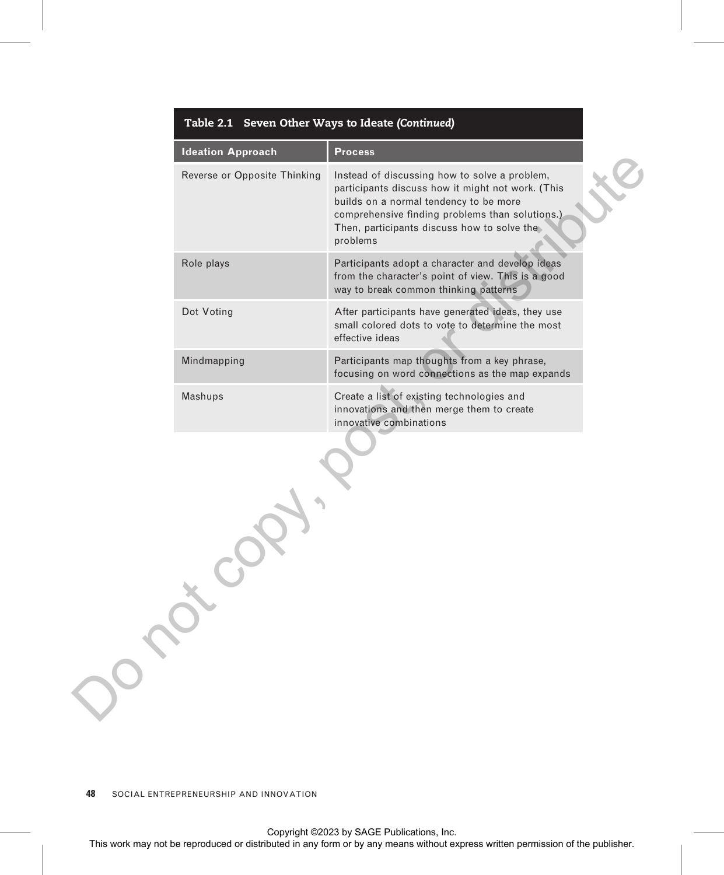| <b>Process</b><br>Instead of discussing how to solve a problem,<br>participants discuss how it might not work. (This<br>builds on a normal tendency to be more<br>comprehensive finding problems than solutions.)<br>Then, participants discuss how to solve the<br>problems<br>Participants adopt a character and develop ideas<br>from the character's point of view. This is a good<br>way to break common thinking patterns<br>After participants have generated ideas, they use<br>small colored dots to vote to determine the most<br>effective ideas<br>Participants map thoughts from a key phrase, |
|-------------------------------------------------------------------------------------------------------------------------------------------------------------------------------------------------------------------------------------------------------------------------------------------------------------------------------------------------------------------------------------------------------------------------------------------------------------------------------------------------------------------------------------------------------------------------------------------------------------|
|                                                                                                                                                                                                                                                                                                                                                                                                                                                                                                                                                                                                             |
|                                                                                                                                                                                                                                                                                                                                                                                                                                                                                                                                                                                                             |
|                                                                                                                                                                                                                                                                                                                                                                                                                                                                                                                                                                                                             |
|                                                                                                                                                                                                                                                                                                                                                                                                                                                                                                                                                                                                             |
| focusing on word connections as the map expands                                                                                                                                                                                                                                                                                                                                                                                                                                                                                                                                                             |
| Create a list of existing technologies and<br>innovations and then merge them to create<br>innovative combinations                                                                                                                                                                                                                                                                                                                                                                                                                                                                                          |
|                                                                                                                                                                                                                                                                                                                                                                                                                                                                                                                                                                                                             |
|                                                                                                                                                                                                                                                                                                                                                                                                                                                                                                                                                                                                             |

# Table 2.1 Seven Other Ways to Ideate (Continued)

**48** SOCIAL ENTREPRENEURSHIP AND INNOVATION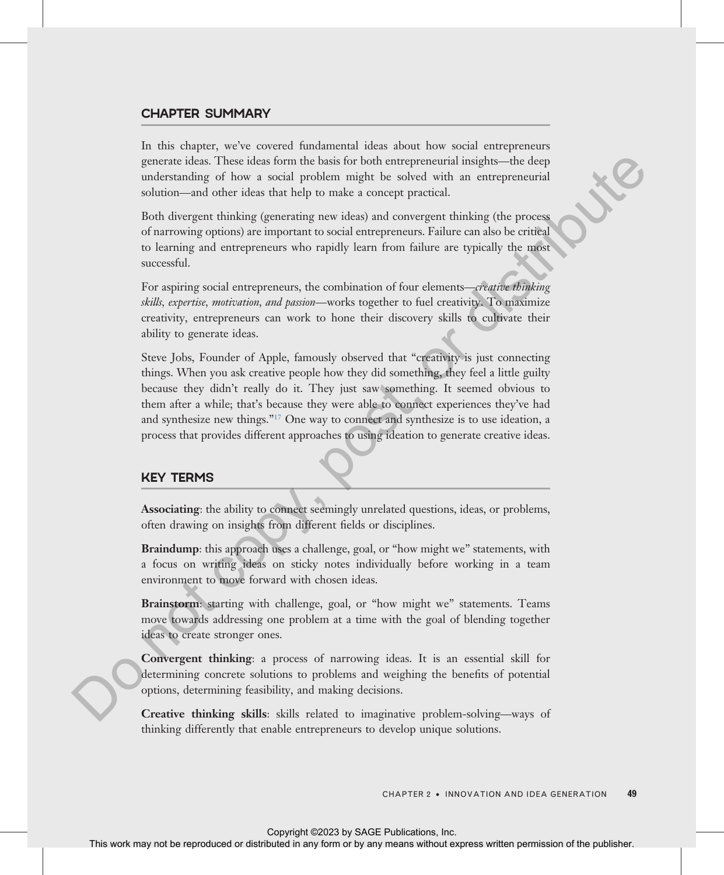# CHAPTER SUMMARY

In this chapter, we've covered fundamental ideas about how social entrepreneurs generate ideas. These ideas form the basis for both entrepreneurial insights—the deep understanding of how a social problem might be solved with an entrepreneurial solution—and other ideas that help to make a concept practical.

Both divergent thinking (generating new ideas) and convergent thinking (the process of narrowing options) are important to social entrepreneurs. Failure can also be critical to learning and entrepreneurs who rapidly learn from failure are typically the most successful.

For aspiring social entrepreneurs, the combination of four elements—creative thinking skills, expertise, motivation, and passion—works together to fuel creativity. To maximize creativity, entrepreneurs can work to hone their discovery skills to cultivate their ability to generate ideas.

Steve Jobs, Founder of Apple, famously observed that "creativity is just connecting things. When you ask creative people how they did something, they feel a little guilty because they didn't really do it. They just saw something. It seemed obvious to them after a while; that's because they were able to connect experiences they've had and synthesize new things."<sup>17</sup> One way to connect and synthesize is to use ideation, a process that provides different approaches to using ideation to generate creative ideas. particles increase that the representation and the result of the reproduced in any form or between the results and the results are a more than the results are a more than the results and the results are a more than the pa

# KEY TERMS

Associating: the ability to connect seemingly unrelated questions, ideas, or problems, often drawing on insights from different fields or disciplines.

Braindump: this approach uses a challenge, goal, or "how might we" statements, with a focus on writing ideas on sticky notes individually before working in a team environment to move forward with chosen ideas.

Brainstorm: starting with challenge, goal, or "how might we" statements. Teams move towards addressing one problem at a time with the goal of blending together ideas to create stronger ones.

Convergent thinking: a process of narrowing ideas. It is an essential skill for determining concrete solutions to problems and weighing the benefits of potential options, determining feasibility, and making decisions.

Creative thinking skills: skills related to imaginative problem-solving—ways of thinking differently that enable entrepreneurs to develop unique solutions.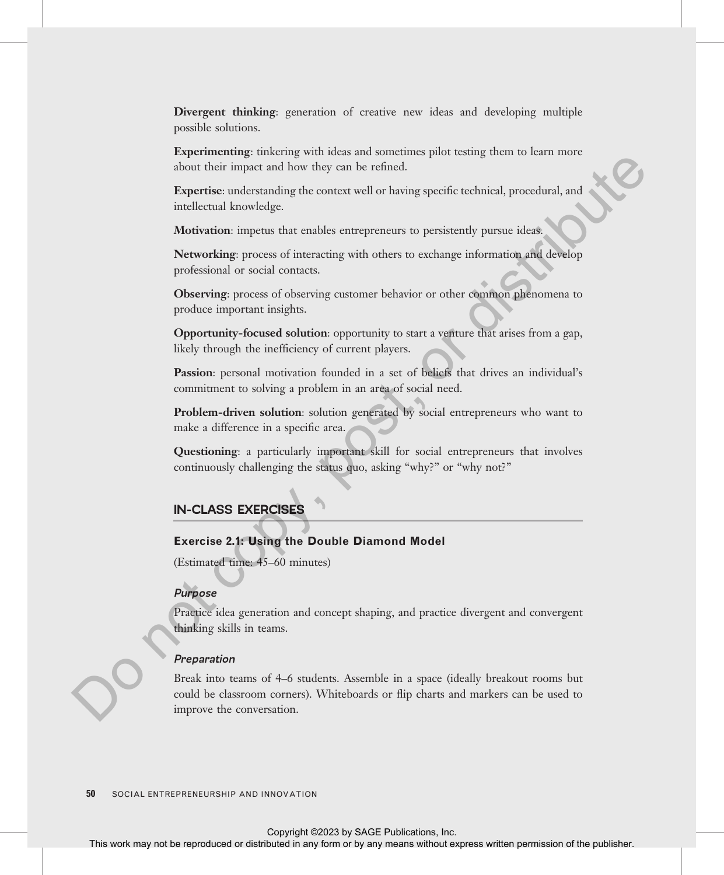Divergent thinking: generation of creative new ideas and developing multiple possible solutions.

Experimenting: tinkering with ideas and sometimes pilot testing them to learn more about their impact and how they can be refined.

Expertise: understanding the context well or having specific technical, procedural, and intellectual knowledge.

Motivation: impetus that enables entrepreneurs to persistently pursue ideas.

Networking: process of interacting with others to exchange information and develop professional or social contacts.

Observing: process of observing customer behavior or other common phenomena to produce important insights.

Opportunity-focused solution: opportunity to start a venture that arises from a gap, likely through the inefficiency of current players.

Passion: personal motivation founded in a set of beliefs that drives an individual's commitment to solving a problem in an area of social need.

Problem-driven solution: solution generated by social entrepreneurs who want to make a difference in a specific area.

Questioning: a particularly important skill for social entrepreneurs that involves continuously challenging the status quo, asking "why?" or "why not?"

# IN-CLASS EXERCISES

# Exercise 2.1: Using the Double Diamond Model

(Estimated time: 45–60 minutes)

# Purpose

Practice idea generation and concept shaping, and practice divergent and convergent thinking skills in teams.

#### Preparation

Break into teams of 4–6 students. Assemble in a space (ideally breakout rooms but could be classroom corners). Whiteboards or flip charts and markers can be used to improve the conversation. Exercise can be represented in any means with the representation of the publishering and the publishering means with the reproduced in any means with the means well be reproduced in a section of the publishering permissio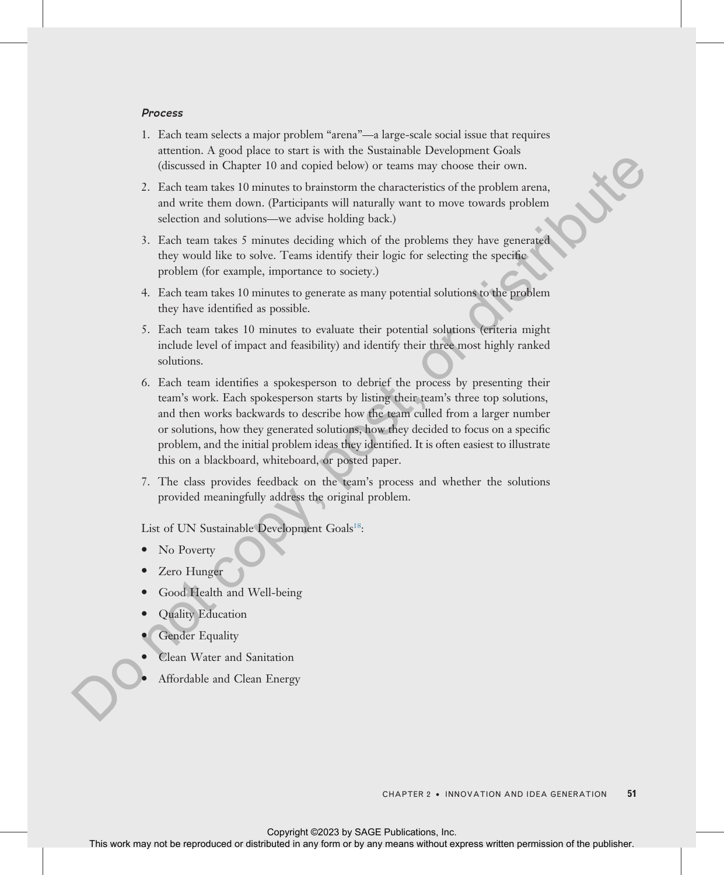#### Process

- 1. Each team selects a major problem "arena"—a large-scale social issue that requires attention. A good place to start is with the Sustainable Development Goals (discussed in Chapter 10 and copied below) or teams may choose their own.
- 2. Each team takes 10 minutes to brainstorm the characteristics of the problem arena, and write them down. (Participants will naturally want to move towards problem selection and solutions—we advise holding back.)
- 3. Each team takes 5 minutes deciding which of the problems they have generated they would like to solve. Teams identify their logic for selecting the specific problem (for example, importance to society.)
- 4. Each team takes 10 minutes to generate as many potential solutions to the problem they have identified as possible.
- 5. Each team takes 10 minutes to evaluate their potential solutions (criteria might include level of impact and feasibility) and identify their three most highly ranked solutions.
- 6. Each team identifies a spokesperson to debrief the process by presenting their team's work. Each spokesperson starts by listing their team's three top solutions, and then works backwards to describe how the team culled from a larger number or solutions, how they generated solutions, how they decided to focus on a specific problem, and the initial problem ideas they identified. It is often easiest to illustrate this on a blackboard, whiteboard, or posted paper. Chicaration is a complete to and copied behow or transis may choose their comparisons of the product<br>series are the reproduced or distributed in each control thermal permission of the produced or distribution of<br>the produ
	- 7. The class provides feedback on the team's process and whether the solutions provided meaningfully address the original problem.

List of UN Sustainable Development Goals<sup>18</sup>:

- No Poverty
- Zero Hunger
- Good Health and Well-being
- Quality Education
- Gender Equality
- Clean Water and Sanitation
- Affordable and Clean Energy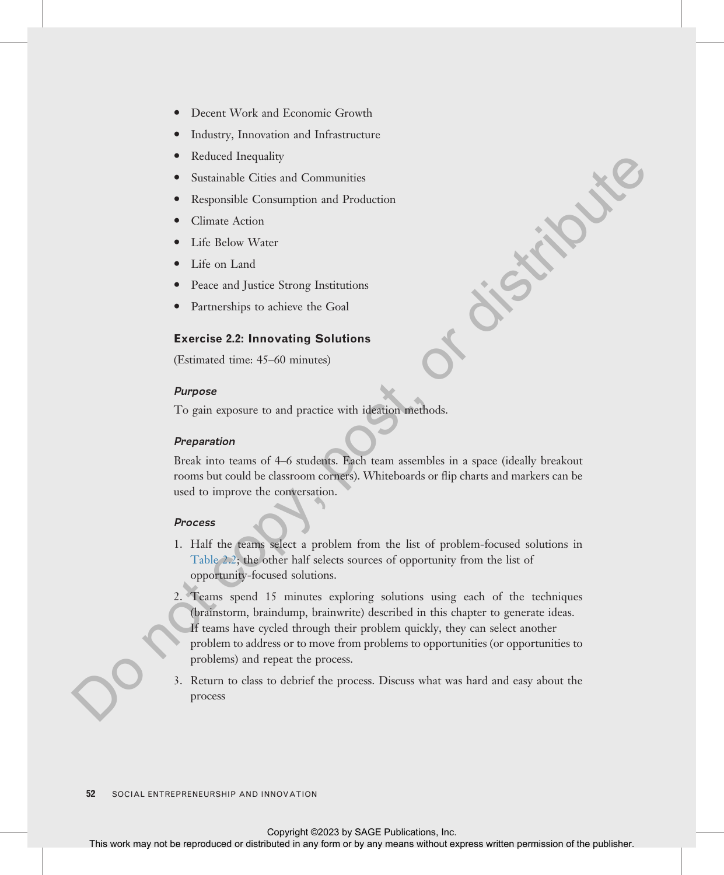- Decent Work and Economic Growth
- · Industry, Innovation and Infrastructure
- Reduced Inequality
- Sustainable Cities and Communities
- Responsible Consumption and Production
- Climate Action
- Life Below Water
- Life on Land
- Peace and Justice Strong Institutions
- Partnerships to achieve the Goal

# Exercise 2.2: Innovating Solutions

(Estimated time: 45–60 minutes)

#### Purpose

To gain exposure to and practice with ideation methods.

#### Preparation

Break into teams of 4–6 students. Each team assembles in a space (ideally breakout rooms but could be classroom corners). Whiteboards or flip charts and markers can be used to improve the conversation.

## Process

- 1. Half the teams select a problem from the list of problem-focused solutions in [Table 2.2](#page-21-0); the other half selects sources of opportunity from the list of opportunity-focused solutions.
- 2. Teams spend 15 minutes exploring solutions using each of the techniques (brainstorm, braindump, brainwrite) described in this chapter to generate ideas. If teams have cycled through their problem quickly, they can select another problem to address or to move from problems to opportunities (or opportunities to problems) and repeat the process. **EXERCIS WORK MAY NOTE THIS WAY NOTE THAT THE REPRODUCED ASSOCIATE AND THE REPRODUCED OF A CONTINUES WITHOUT ARROW CONTINUES (SURFACE) THE REPRODUCED CONTINUES (SURFACE) CONTINUES (SURFACE) CONTINUES (SURFACE) CONTINUES (** 
	- 3. Return to class to debrief the process. Discuss what was hard and easy about the process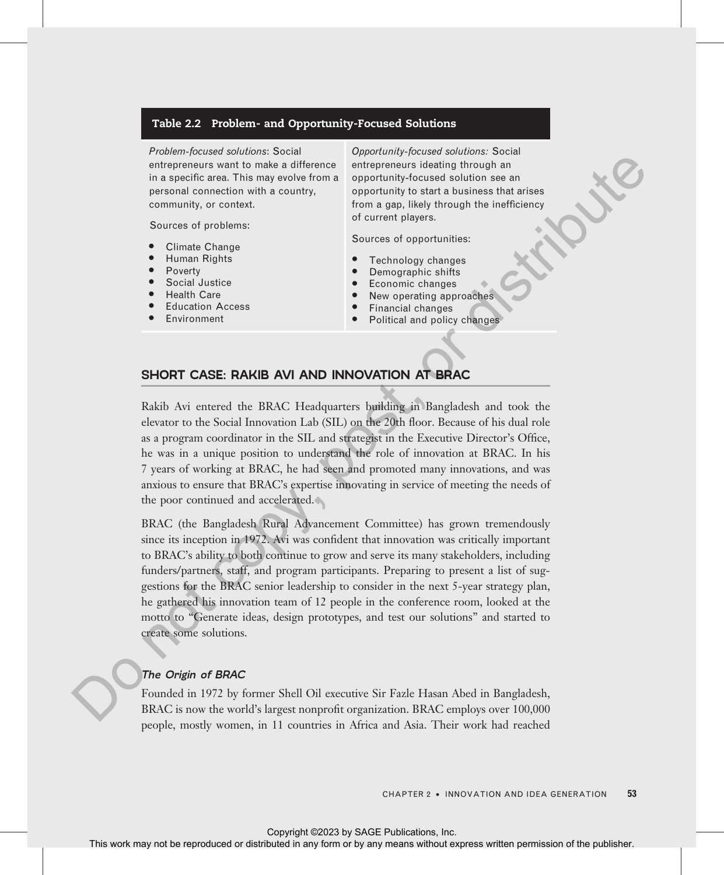#### Table 2.2 Problem- and Opportunity-Focused Solutions

Problem-focused solutions: Social entrepreneurs want to make a difference in a specific area. This may evolve from a personal connection with a country, community, or context.

Sources of problems:

- Climate Change
- · Human Rights
- **Poverty**
- Social Justice
- **Health Care**
- **Education Access**
- · Environment

Opportunity-focused solutions: Social entrepreneurs ideating through an opportunity-focused solution see an opportunity to start a business that arises from a gap, likely through the inefficiency of current players.

Sources of opportunities:

- Technology changes
- Demographic shifts
- Economic changes
- New operating approaches
- Financial changes
- Political and policy changes

# SHORT CASE: RAKIB AVI AND INNOVATION AT BRAC

Rakib Avi entered the BRAC Headquarters building in Bangladesh and took the elevator to the Social Innovation Lab (SIL) on the 20th floor. Because of his dual role as a program coordinator in the SIL and strategist in the Executive Director's Office, he was in a unique position to understand the role of innovation at BRAC. In his 7 years of working at BRAC, he had seen and promoted many innovations, and was anxious to ensure that BRAC's expertise innovating in service of meeting the needs of the poor continued and accelerated.

<span id="page-21-0"></span>BRAC (the Bangladesh Rural Advancement Committee) has grown tremendously since its inception in 1972. Avi was confident that innovation was critically important to BRAC's ability to both continue to grow and serve its many stakeholders, including funders/partners, staff, and program participants. Preparing to present a list of suggestions for the BRAC senior leadership to consider in the next 5-year strategy plan, he gathered his innovation team of 12 people in the conference room, looked at the motto to "Generate ideas, design prototypes, and test our solutions" and started to create some solutions. EXECUTE: This way to reproduce the reproduced or distributed in any fire or by an any fire or distributed or distributed in any means of the publisher.<br>
The may not be reproduced to the contrast of the publisher of the pu

#### The Origin of BRAC

Founded in 1972 by former Shell Oil executive Sir Fazle Hasan Abed in Bangladesh, BRAC is now the world's largest nonprofit organization. BRAC employs over 100,000 people, mostly women, in 11 countries in Africa and Asia. Their work had reached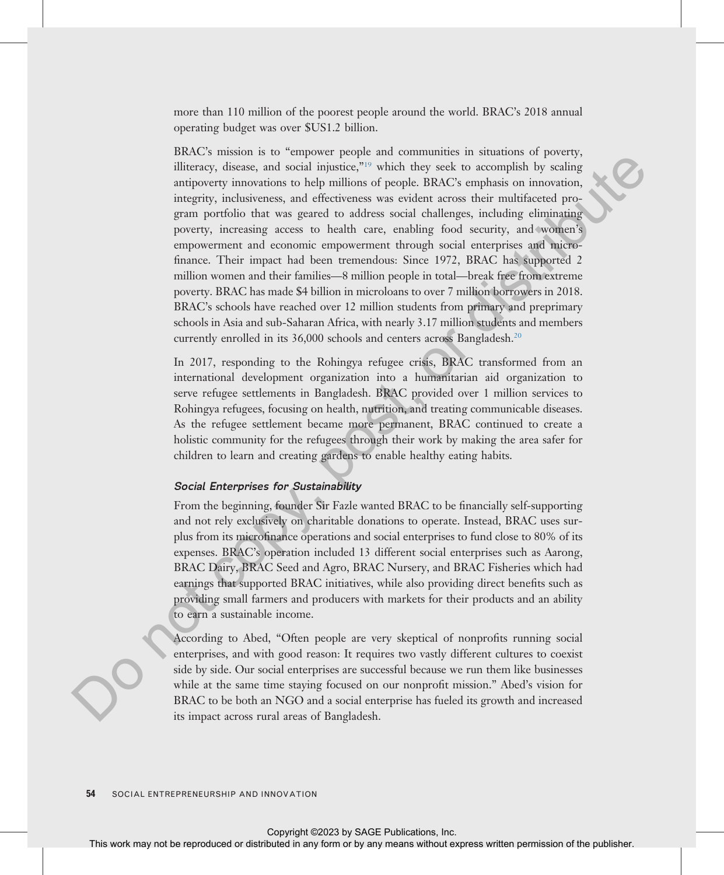more than 110 million of the poorest people around the world. BRAC's 2018 annual operating budget was over \$US1.2 billion.

BRAC's mission is to "empower people and communities in situations of poverty, illiteracy, disease, and social injustice,"<sup>19</sup> which they seek to accomplish by scaling antipoverty innovations to help millions of people. BRAC's emphasis on innovation, integrity, inclusiveness, and effectiveness was evident across their multifaceted program portfolio that was geared to address social challenges, including eliminating poverty, increasing access to health care, enabling food security, and women's empowerment and economic empowerment through social enterprises and microfinance. Their impact had been tremendous: Since 1972, BRAC has supported 2 million women and their families—8 million people in total—break free from extreme poverty. BRAC has made \$4 billion in microloans to over 7 million borrowers in 2018. BRAC's schools have reached over 12 million students from primary and preprimary schools in Asia and sub-Saharan Africa, with nearly 3.17 million students and members currently enrolled in its 36,000 schools and centers across Bangladesh.<sup>20</sup> The expression of the relation of the relation of the relation or the relation of the relations or the relation of the relation or the relation of the relation of the relation of the relation of the relation of the publis

In 2017, responding to the Rohingya refugee crisis, BRAC transformed from an international development organization into a humanitarian aid organization to serve refugee settlements in Bangladesh. BRAC provided over 1 million services to Rohingya refugees, focusing on health, nutrition, and treating communicable diseases. As the refugee settlement became more permanent, BRAC continued to create a holistic community for the refugees through their work by making the area safer for children to learn and creating gardens to enable healthy eating habits.

#### Social Enterprises for Sustainability

From the beginning, founder Sir Fazle wanted BRAC to be financially self-supporting and not rely exclusively on charitable donations to operate. Instead, BRAC uses surplus from its microfinance operations and social enterprises to fund close to 80% of its expenses. BRAC's operation included 13 different social enterprises such as Aarong, BRAC Dairy, BRAC Seed and Agro, BRAC Nursery, and BRAC Fisheries which had earnings that supported BRAC initiatives, while also providing direct benefits such as providing small farmers and producers with markets for their products and an ability to earn a sustainable income.

According to Abed, "Often people are very skeptical of nonprofits running social enterprises, and with good reason: It requires two vastly different cultures to coexist side by side. Our social enterprises are successful because we run them like businesses while at the same time staying focused on our nonprofit mission." Abed's vision for BRAC to be both an NGO and a social enterprise has fueled its growth and increased its impact across rural areas of Bangladesh.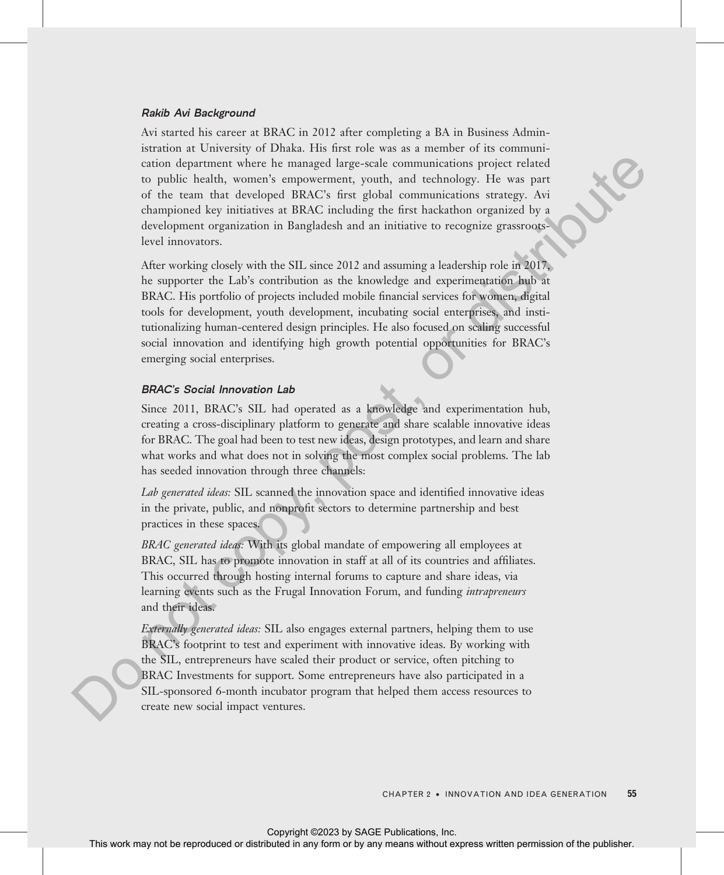#### Rakib Avi Background

Avi started his career at BRAC in 2012 after completing a BA in Business Administration at University of Dhaka. His first role was as a member of its communication department where he managed large-scale communications project related to public health, women's empowerment, youth, and technology. He was part of the team that developed BRAC's first global communications strategy. Avi championed key initiatives at BRAC including the first hackathon organized by a development organization in Bangladesh and an initiative to recognize grassrootslevel innovators.

After working closely with the SIL since 2012 and assuming a leadership role in 2017, he supporter the Lab's contribution as the knowledge and experimentation hub at BRAC. His portfolio of projects included mobile financial services for women, digital tools for development, youth development, incubating social enterprises, and institutionalizing human-centered design principles. He also focused on scaling successful social innovation and identifying high growth potential opportunities for BRAC's emerging social enterprises. estion department when the reproduced or distributed or distributed in the representation in any form of the representation in any form of the representation of the representation of the publisher. And the representation

## BRAC'<sup>s</sup> Social Innovation Lab

Since 2011, BRAC's SIL had operated as a knowledge and experimentation hub, creating a cross-disciplinary platform to generate and share scalable innovative ideas for BRAC. The goal had been to test new ideas, design prototypes, and learn and share what works and what does not in solving the most complex social problems. The lab has seeded innovation through three channels:

Lab generated ideas: SIL scanned the innovation space and identified innovative ideas in the private, public, and nonprofit sectors to determine partnership and best practices in these spaces.

BRAC generated ideas: With its global mandate of empowering all employees at BRAC, SIL has to promote innovation in staff at all of its countries and affiliates. This occurred through hosting internal forums to capture and share ideas, via learning events such as the Frugal Innovation Forum, and funding *intrapreneurs* and their ideas.

Externally generated ideas: SIL also engages external partners, helping them to use BRAC's footprint to test and experiment with innovative ideas. By working with the SIL, entrepreneurs have scaled their product or service, often pitching to BRAC Investments for support. Some entrepreneurs have also participated in a SIL-sponsored 6-month incubator program that helped them access resources to create new social impact ventures.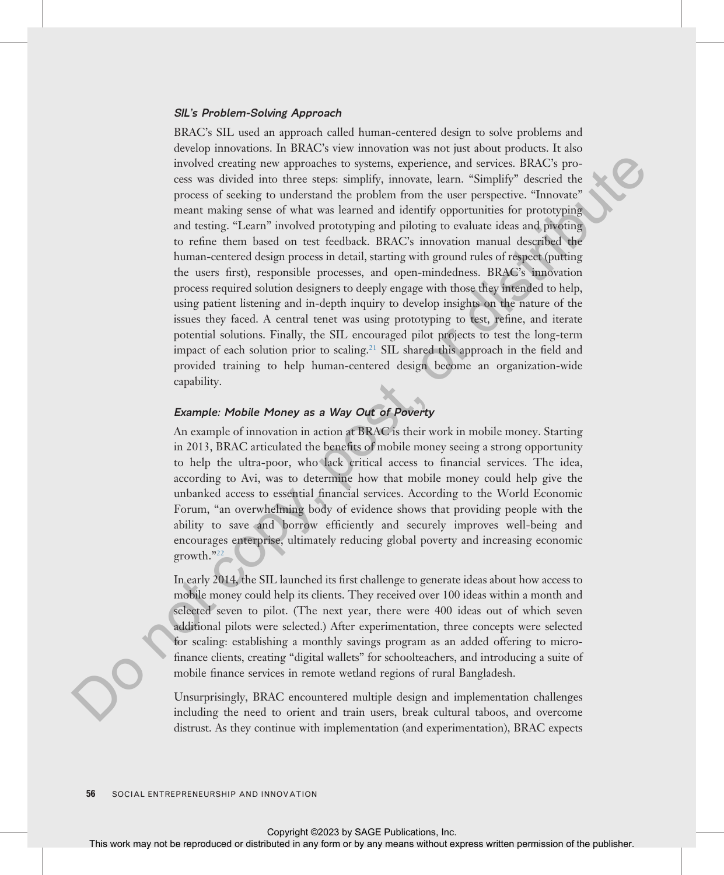#### SIL'<sup>s</sup> Problem-Solving Approach

BRAC's SIL used an approach called human-centered design to solve problems and develop innovations. In BRAC's view innovation was not just about products. It also involved creating new approaches to systems, experience, and services. BRAC's process was divided into three steps: simplify, innovate, learn. "Simplify" descried the process of seeking to understand the problem from the user perspective. "Innovate" meant making sense of what was learned and identify opportunities for prototyping and testing. "Learn" involved prototyping and piloting to evaluate ideas and pivoting to refine them based on test feedback. BRAC's innovation manual described the human-centered design process in detail, starting with ground rules of respect (putting the users first), responsible processes, and open-mindedness. BRAC's innovation process required solution designers to deeply engage with those they intended to help, using patient listening and in-depth inquiry to develop insights on the nature of the issues they faced. A central tenet was using prototyping to test, refine, and iterate potential solutions. Finally, the SIL encouraged pilot projects to test the long-term impact of each solution prior to scaling.<sup>21</sup> SIL shared this approach in the field and provided training to help human-centered design become an organization-wide capability. The [c](#page-26-0)olor of the reproduced or the respective or distributed in any form or by any means of the representation of the respective. The most means of the respective of the respective of the publisher of the respective of th

## Example: Mobile Money as <sup>a</sup> Way Out of Poverty

An example of innovation in action at BRAC is their work in mobile money. Starting in 2013, BRAC articulated the benefits of mobile money seeing a strong opportunity to help the ultra-poor, who lack critical access to financial services. The idea, according to Avi, was to determine how that mobile money could help give the unbanked access to essential financial services. According to the World Economic Forum, "an overwhelming body of evidence shows that providing people with the ability to save and borrow efficiently and securely improves well-being and encourages enterprise, ultimately reducing global poverty and increasing economic growth."<sup>22</sup>

In early 2014, the SIL launched its first challenge to generate ideas about how access to mobile money could help its clients. They received over 100 ideas within a month and selected seven to pilot. (The next year, there were 400 ideas out of which seven additional pilots were selected.) After experimentation, three concepts were selected for scaling: establishing a monthly savings program as an added offering to microfinance clients, creating "digital wallets" for schoolteachers, and introducing a suite of mobile finance services in remote wetland regions of rural Bangladesh.

Unsurprisingly, BRAC encountered multiple design and implementation challenges including the need to orient and train users, break cultural taboos, and overcome distrust. As they continue with implementation (and experimentation), BRAC expects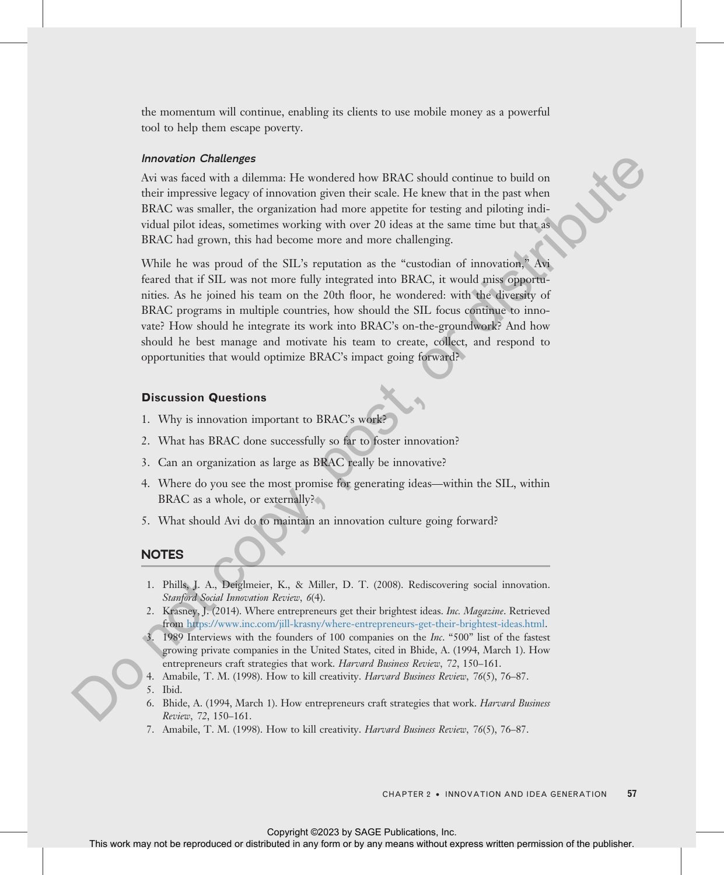the momentum will continue, enabling its clients to use mobile money as a powerful tool to help them escape poverty.

#### Innovation Challenges

Avi was faced with a dilemma: He wondered how BRAC should continue to build on their impressive legacy of innovation given their scale. He knew that in the past when BRAC was smaller, the organization had more appetite for testing and piloting individual pilot ideas, sometimes working with over 20 ideas at the same time but that as BRAC had grown, this had become more and more challenging.

<span id="page-25-0"></span>While he was proud of the SIL's reputation as the "custodian of innovation," Avi feared that if SIL was not more fully integrated into BRAC, it would miss opportunities. As he joined his team on the 20th floor, he wondered: with the diversity of BRAC programs in multiple countries, how should the SIL focus continue to innovate? How should he integrate its work into BRAC's on-the-groundwork? And how should he best manage and motivate his team to create, collect, and respond to opportunities that would optimize BRAC's impact going forward? **M[o](https://www.inc.com/jill-krasny/where-entrepreneurs-get-their-brightest-ideas.html)reovico Colletters** with the vonder above BRAC should continue to beall our during context in any form of the result of the result of the publisher. Since the publisher in a change of the publisher above the representa

#### Discussion Questions

- 1. Why is innovation important to BRAC's work?
- 2. What has BRAC done successfully so far to foster innovation?
- 3. Can an organization as large as BRAC really be innovative?
- 4. Where do you see the most promise for generating ideas—within the SIL, within BRAC as a whole, or externally?
- 5. What should Avi do to maintain an innovation culture going forward?

# **NOTES**

- 1. Phills, J. A., Deiglmeier, K., & Miller, D. T. (2008). Rediscovering social innovation. Stanford Social Innovation Review, 6(4).
- 2. Krasney, J. (2014). Where entrepreneurs get their brightest ideas. Inc. Magazine. Retrieved from https://www.inc.com/jill-krasny/where-entrepreneurs-get-their-brightest-ideas.html.
- 3. 1989 Interviews with the founders of 100 companies on the Inc. "500" list of the fastest growing private companies in the United States, cited in Bhide, A. (1994, March 1). How entrepreneurs craft strategies that work. Harvard Business Review, 72, 150–161.
- 4. Amabile, T. M. (1998). How to kill creativity. Harvard Business Review, 76(5), 76-87.
- 5. Ibid.
- 6. Bhide, A. (1994, March 1). How entrepreneurs craft strategies that work. Harvard Business Review, 72, 150–161.
- 7. Amabile, T. M. (1998). How to kill creativity. Harvard Business Review, 76(5), 76-87.